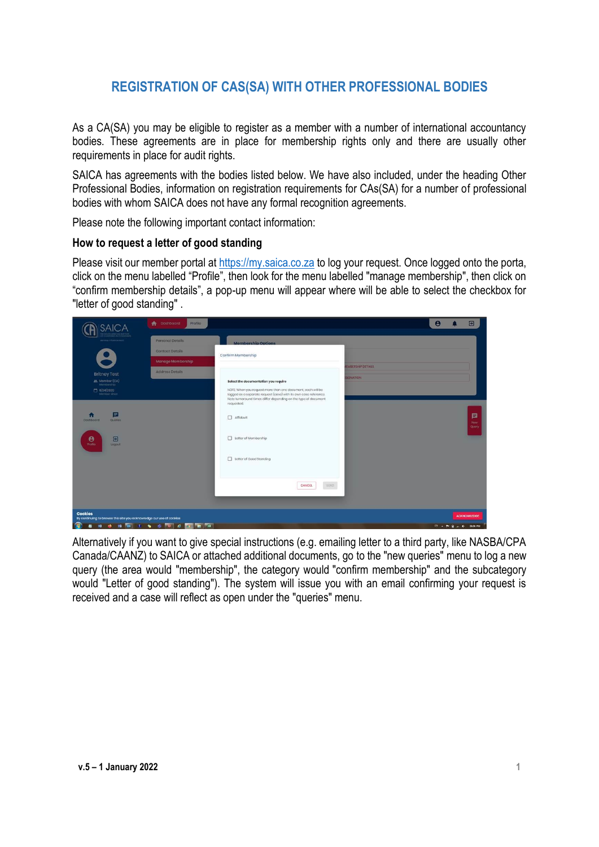# **REGISTRATION OF CAS(SA) WITH OTHER PROFESSIONAL BODIES**

As a CA(SA) you may be eligible to register as a member with a number of international accountancy bodies. These agreements are in place for membership rights only and there are usually other requirements in place for audit rights.

SAICA has agreements with the bodies listed below. We have also included, under the heading Other Professional Bodies, information on registration requirements for CAs(SA) for a number of professional bodies with whom SAICA does not have any formal recognition agreements.

Please note the following important contact information:

#### **How to request a letter of good standing**

Please visit our member portal at [https://my.saica.co.za](https://my.saica.co.za/) to log your request. Once logged onto the porta, click on the menu labelled "Profile", then look for the menu labelled "manage membership", then click on "confirm membership details", a pop-up menu will appear where will be able to select the checkbox for "letter of good standing" .



Alternatively if you want to give special instructions (e.g. emailing letter to a third party, like NASBA/CPA Canada/CAANZ) to SAICA or attached additional documents, go to the "new queries" menu to log a new query (the area would "membership", the category would "confirm membership" and the subcategory would "Letter of good standing"). The system will issue you with an email confirming your request is received and a case will reflect as open under the "queries" menu.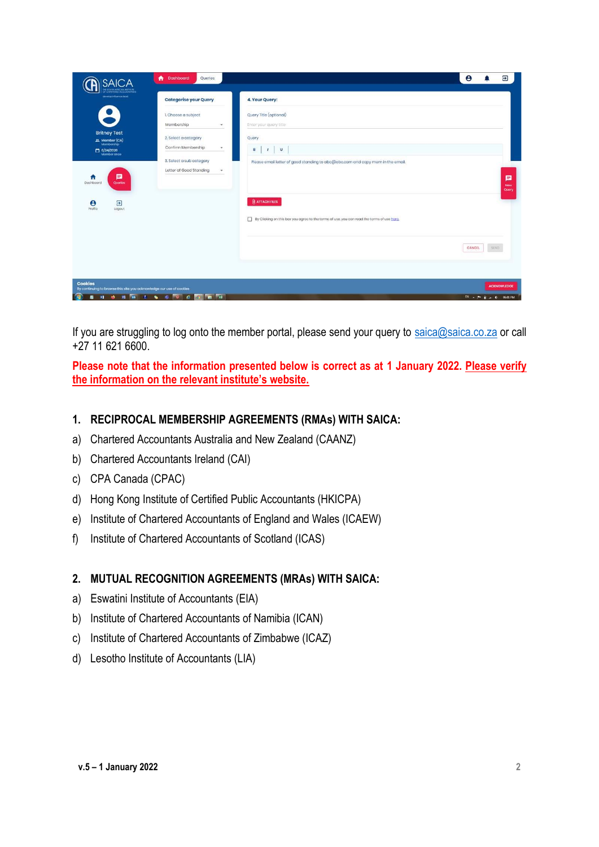| <b>SAICA</b>                                                                                             | ٠<br><b>Dashboard</b><br>Queries                         |                                                                                                                     | $\boldsymbol{\Theta}$<br>Э<br>д |
|----------------------------------------------------------------------------------------------------------|----------------------------------------------------------|---------------------------------------------------------------------------------------------------------------------|---------------------------------|
| <b>CHAFFIRD ACCOUNTAINS</b><br>develop influence legal.                                                  | <b>Categorise your Query</b>                             | 4. Your Query:                                                                                                      |                                 |
|                                                                                                          | 1. Choose a subject<br>Membership                        | Query Title (optional)<br>Enter your query title                                                                    |                                 |
| <b>Britney Test</b><br>$\begin{array}{c} \text{AL} \text{ Momber (CA)} \\ \text{Mombership} \end{array}$ | 2. Select a category<br>Confirm Membership               | Query<br>$\mathbf{B}$                                                                                               |                                 |
| $\Box$ 6/24/2020                                                                                         | 3. Select a sub category<br>Letter of Good Standing<br>٠ | $\cup$<br>$\mathbf{I}$<br>Please email letter of good standing to abc@abc.com and copy mem in the email.            |                                 |
| Е<br>n<br>Dashboard<br>Quarios                                                                           |                                                          |                                                                                                                     | 目<br>Naw<br>Query               |
| $\overline{\mathbf{E}}$<br>$\boldsymbol{\theta}$<br>Profile<br>Logout                                    |                                                          | <b>U</b> ATTACH FILES<br>By Clicking on this box you agree to the terms of use, you can read the terms of use here. |                                 |
|                                                                                                          |                                                          |                                                                                                                     | CANCEL<br>SEND                  |
|                                                                                                          |                                                          |                                                                                                                     |                                 |
| <b>Cookies</b><br>By continuing to browse this site you acknowledge our use of cookies                   |                                                          |                                                                                                                     | <b>ACKNOWLEDGE</b>              |
| œ                                                                                                        | <b>Nich Violet &amp; Guide Guine Hall</b>                |                                                                                                                     | EN . P . a . 1 0601 PM          |

If you are struggling to log onto the member portal, please send your query to [saica@saica.co.za](mailto:saica@saica.co.za) or call +27 11 621 6600.

**Please note that the information presented below is correct as at 1 January 2022. Please verify the information on the relevant institute's website.** 

#### **1. RECIPROCAL MEMBERSHIP AGREEMENTS (RMAs) WITH SAICA:**

- a) Chartered Accountants Australia and New Zealand (CAANZ)
- b) Chartered Accountants Ireland (CAI)
- c) CPA Canada (CPAC)
- d) Hong Kong Institute of Certified Public Accountants (HKICPA)
- e) Institute of Chartered Accountants of England and Wales (ICAEW)
- f) Institute of Chartered Accountants of Scotland (ICAS)

#### **2. MUTUAL RECOGNITION AGREEMENTS (MRAs) WITH SAICA:**

- a) Eswatini Institute of Accountants (EIA)
- b) Institute of Chartered Accountants of Namibia (ICAN)
- c) Institute of Chartered Accountants of Zimbabwe (ICAZ)
- d) Lesotho Institute of Accountants (LIA)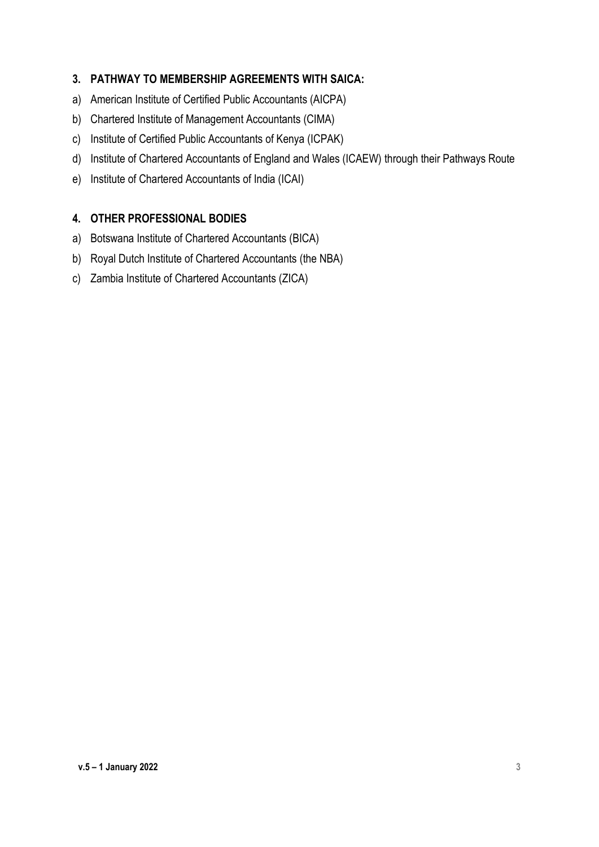### **3. PATHWAY TO MEMBERSHIP AGREEMENTS WITH SAICA:**

- a) American Institute of Certified Public Accountants (AICPA)
- b) Chartered Institute of Management Accountants (CIMA)
- c) Institute of Certified Public Accountants of Kenya (ICPAK)
- d) Institute of Chartered Accountants of England and Wales (ICAEW) through their Pathways Route
- e) Institute of Chartered Accountants of India (ICAI)

# **4. OTHER PROFESSIONAL BODIES**

- a) Botswana Institute of Chartered Accountants (BICA)
- b) Royal Dutch Institute of Chartered Accountants (the NBA)
- c) Zambia Institute of Chartered Accountants (ZICA)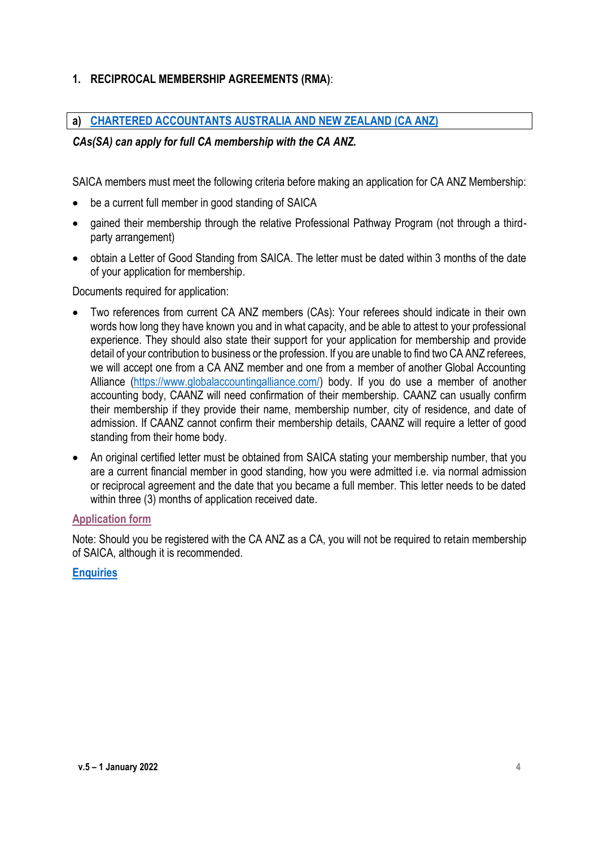# **1. RECIPROCAL MEMBERSHIP AGREEMENTS (RMA)**:

#### **a) [CHARTERED ACCOUNTANTS AUSTRALIA AND NEW ZEALAND \(CA](https://www.charteredaccountantsanz.com/become-a-member/memberships/pathway-for-members-of-overseas-accounting-bodies/global-accounting-alliance-member-bodies#Step%201) ANZ)**

#### *CAs(SA) can apply for full CA membership with the CA ANZ.*

SAICA members must meet the following criteria before making an application for CA ANZ Membership:

- be a current full member in good standing of SAICA
- gained their membership through the relative Professional Pathway Program (not through a thirdparty arrangement)
- obtain a Letter of Good Standing from SAICA. The letter must be dated within 3 months of the date of your application for membership.

Documents required for application:

- Two references from current CA ANZ members (CAs): Your referees should indicate in their own words how long they have known you and in what capacity, and be able to attest to your professional experience. They should also state their support for your application for membership and provide detail of your contribution to business or the profession. If you are unable to find two CA ANZ referees, we will accept one from a CA ANZ member and one from a member of another Global Accounting Alliance [\(https://www.globalaccountingalliance.com/\)](https://www.globalaccountingalliance.com/) body. If you do use a member of another accounting body, CAANZ will need confirmation of their membership. CAANZ can usually confirm their membership if they provide their name, membership number, city of residence, and date of admission. If CAANZ cannot confirm their membership details, CAANZ will require a letter of good standing from their home body.
- An original certified letter must be obtained from SAICA stating your membership number, that you are a current financial member in good standing, how you were admitted i.e. via normal admission or reciprocal agreement and the date that you became a full member. This letter needs to be dated within three (3) months of application received date.

#### **[Application form](https://charteredaccountantsanz.force.com/MyCA/s/login/SelfRegister?d=%2Fs%2Fspecialadmissions)**

Note: Should you be registered with the CA ANZ as a CA, you will not be required to retain membership of SAICA, although it is recommended.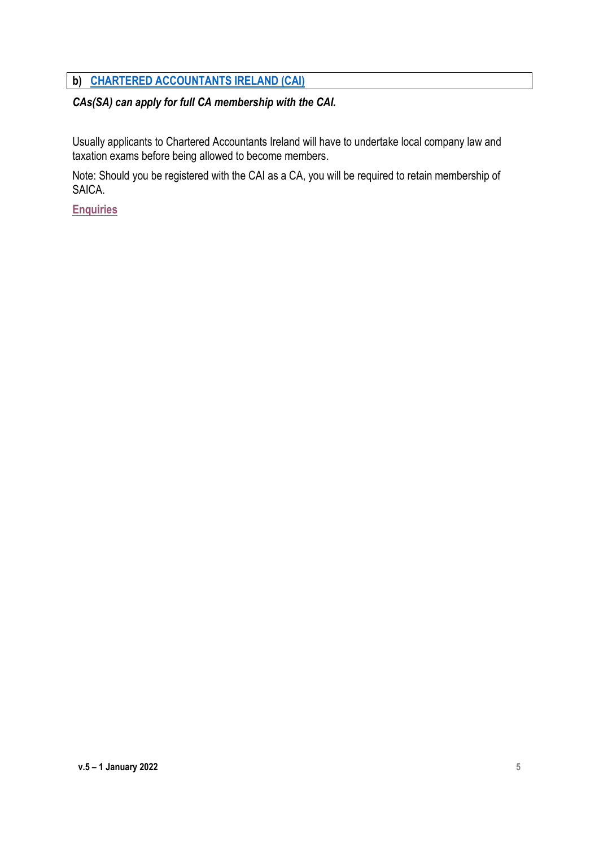# **b) CHARTERED [ACCOUNTANTS IRELAND \(CAI\)](https://www.charteredaccountants.ie/Members/Your-Institute/Admissions-to-Membership/Reciprocal-membership)**

# *CAs(SA) can apply for full CA membership with the CAI.*

Usually applicants to Chartered Accountants Ireland will have to undertake local company law and taxation exams before being allowed to become members.

Note: Should you be registered with the CAI as a CA, you will be required to retain membership of SAICA.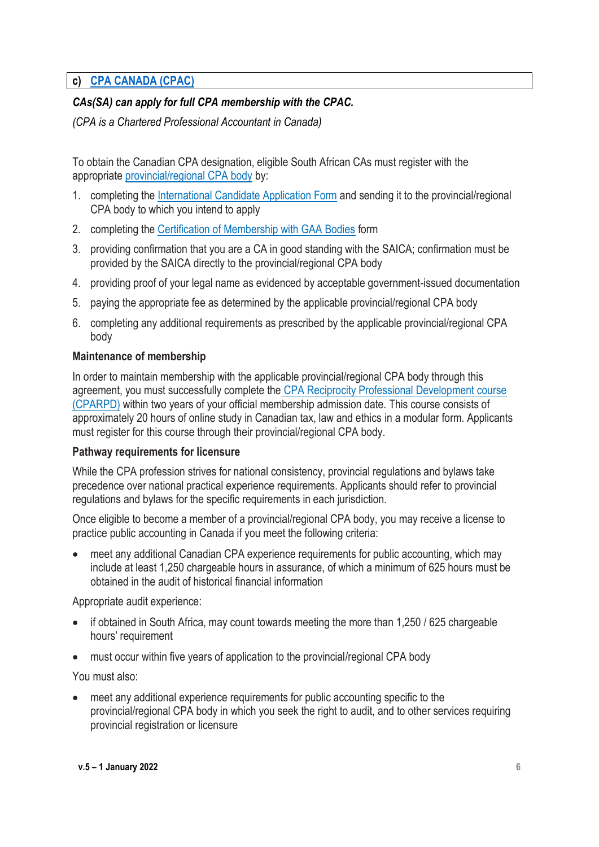# **c) [CPA CANADA \(CPAC\)](https://www.cpacanada.ca/en/become-a-cpa/international-credential-recognition/international-recognition-agreements/international-members-seeking-canadian-cpa)**

# *CAs(SA) can apply for full CPA membership with the CPAC.*

*(CPA is a Chartered Professional Accountant in Canada)*

To obtain the Canadian CPA designation, eligible South African CAs must register with the appropriate [provincial/regional CPA body](https://www.cpacanada.ca/en/the-cpa-profession/cpa-provincial-and-regional-accounting-bodies) by:

- 1. completing the [International Candidate Application Form](https://www.cpacanada.ca/-/media/site/operational/ec-education-certification/docs/01526-ec_mra-rma-international-applicant-form_en.pdf?la=en&hash=34699F41C856D724E26AE546750C42BF8CD3DECE) and sending it to the provincial/regional CPA body to which you intend to apply
- 2. completing the [Certification of Membership with GAA Bodies](https://www.cpacanada.ca/-/media/site/operational/ec-education-certification/docs/01538-ec_request-for-certification-of-membership-with-the-gaa-bodies_en.pdf?la=en&hash=487133677B8A96BCB4961DE0C211CE9DC57C8272) form
- 3. providing confirmation that you are a CA in good standing with the SAICA; confirmation must be provided by the SAICA directly to the provincial/regional CPA body
- 4. providing proof of your legal name as evidenced by acceptable government-issued documentation
- 5. paying the appropriate fee as determined by the applicable provincial/regional CPA body
- 6. completing any additional requirements as prescribed by the applicable provincial/regional CPA body

#### **Maintenance of membership**

In order to maintain membership with the applicable provincial/regional CPA body through this agreement, you must successfully complete the [CPA Reciprocity Professional Development course](https://www.cpacanada.ca/en/become-a-cpa/international-credential-recognition/cpa-reciprocity-professional-development-course)  [\(CPARPD\)](https://www.cpacanada.ca/en/become-a-cpa/international-credential-recognition/cpa-reciprocity-professional-development-course) within two years of your official membership admission date. This course consists of approximately 20 hours of online study in Canadian tax, law and ethics in a modular form. Applicants must register for this course through their provincial/regional CPA body.

#### **Pathway requirements for licensure**

While the CPA profession strives for national consistency, provincial regulations and bylaws take precedence over national practical experience requirements. Applicants should refer to provincial regulations and bylaws for the specific requirements in each jurisdiction.

Once eligible to become a member of a provincial/regional CPA body, you may receive a license to practice public accounting in Canada if you meet the following criteria:

 meet any additional Canadian CPA experience requirements for public accounting, which may include at least 1,250 chargeable hours in assurance, of which a minimum of 625 hours must be obtained in the audit of historical financial information

Appropriate audit experience:

- if obtained in South Africa, may count towards meeting the more than 1,250 / 625 chargeable hours' requirement
- must occur within five years of application to the provincial/regional CPA body

You must also:

 meet any additional experience requirements for public accounting specific to the provincial/regional CPA body in which you seek the right to audit, and to other services requiring provincial registration or licensure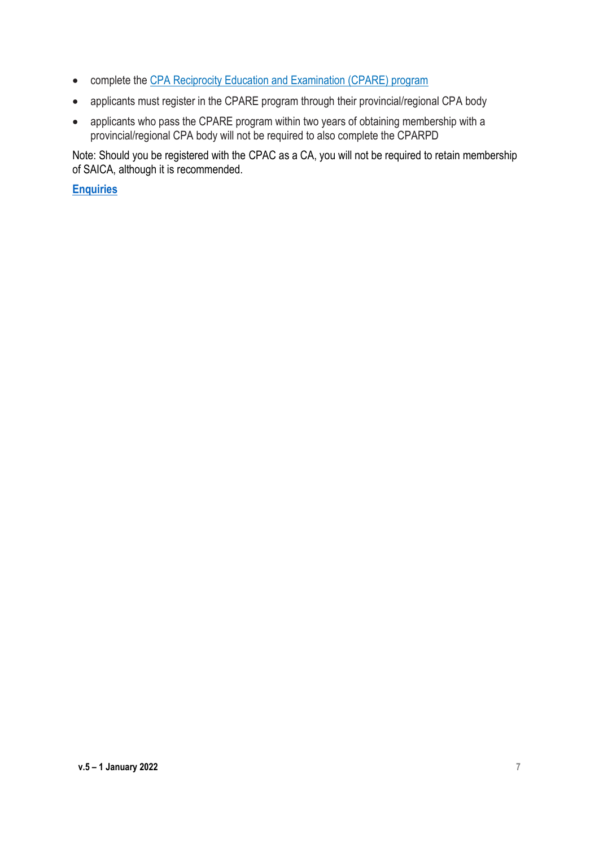- complete the [CPA Reciprocity Education and Examination \(CPARE\) program](https://www.cpacanada.ca/en/become-a-cpa/international-credential-recognition/cpar-program)
- applicants must register in the CPARE program through their provincial/regional CPA body
- applicants who pass the CPARE program within two years of obtaining membership with a provincial/regional CPA body will not be required to also complete the CPARPD

Note: Should you be registered with the CPAC as a CA, you will not be required to retain membership of SAICA, although it is recommended.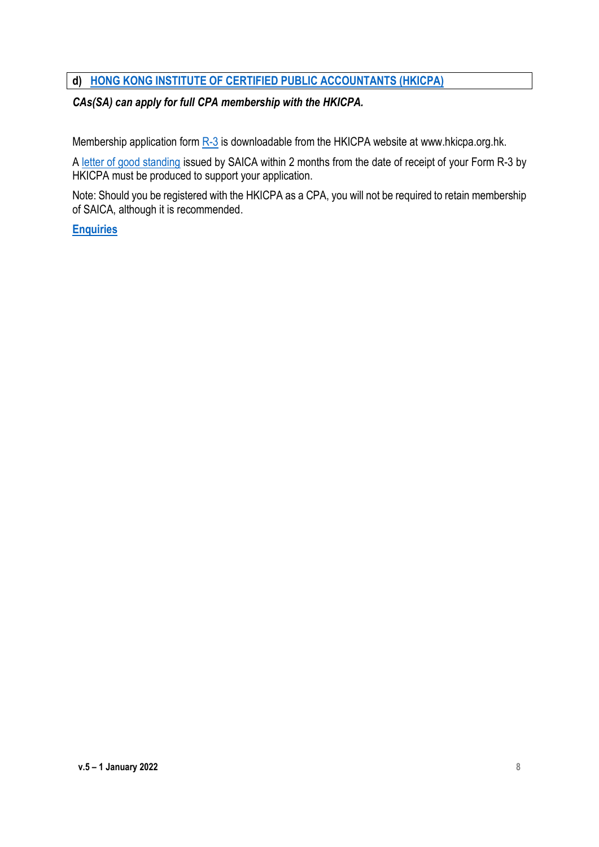# **d) [HONG KONG INSTITUTE OF CERTIFIED PUBLIC ACCOUNTANTS \(HKICPA\)](https://www.hkicpa.org.hk/en/Membership/Registration-and-licensing/Recognition-of-overseas-bodies)**

# *CAs(SA) can apply for full CPA membership with the HKICPA.*

Membership application form  $R-3$  is downloadable from the HKICPA website at www.hkicpa.org.hk.

A [letter of good standing](https://www.hkicpa.org.hk/-/media/HKICPA-Website/HKICPA/section3_registration/Register-as-a-CPA/pdf-file/form/cabodies.pdf) issued by SAICA within 2 months from the date of receipt of your Form R-3 by HKICPA must be produced to support your application.

Note: Should you be registered with the HKICPA as a CPA, you will not be required to retain membership of SAICA, although it is recommended.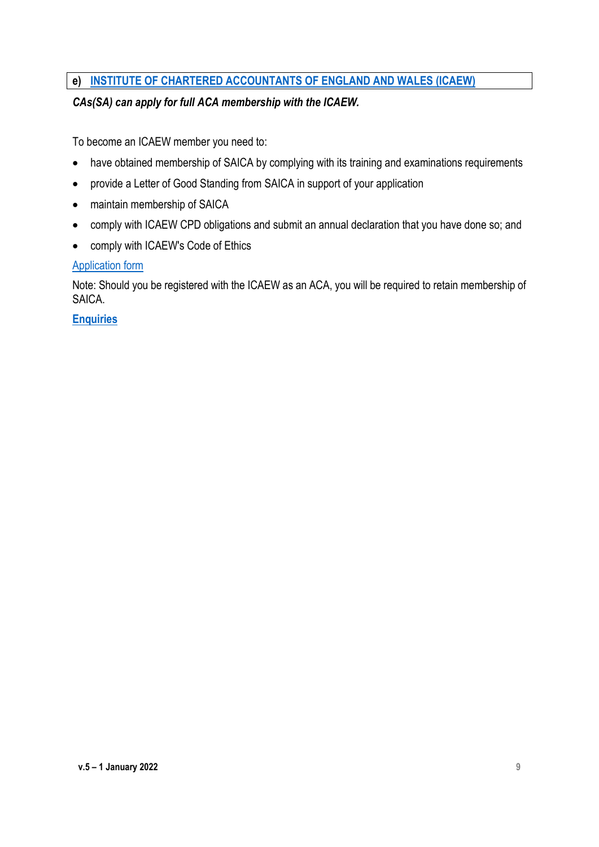# **e) [INSTITUTE OF CHARTERED ACCOUNTANTS OF ENGLAND AND WALES \(ICAEW\)](https://www.icaew.com/membership/becoming-a-member/members-of-other-bodies/members-of-other-bodies-a-z/saica-members-join-icaew)**

# *CAs(SA) can apply for full ACA membership with the ICAEW.*

To become an ICAEW member you need to:

- have obtained membership of SAICA by complying with its training and examinations requirements
- provide a Letter of Good Standing from SAICA in support of your application
- maintain membership of SAICA
- comply with ICAEW CPD obligations and submit an annual declaration that you have done so; and
- comply with ICAEW's Code of Ethics

#### [Application form](https://www.icaew.com/-/media/corporate/files/join-us/members-of-other-bodies/reciprocal-membership-application-saica-2020.ashx?la=en)

Note: Should you be registered with the ICAEW as an ACA, you will be required to retain membership of SAICA.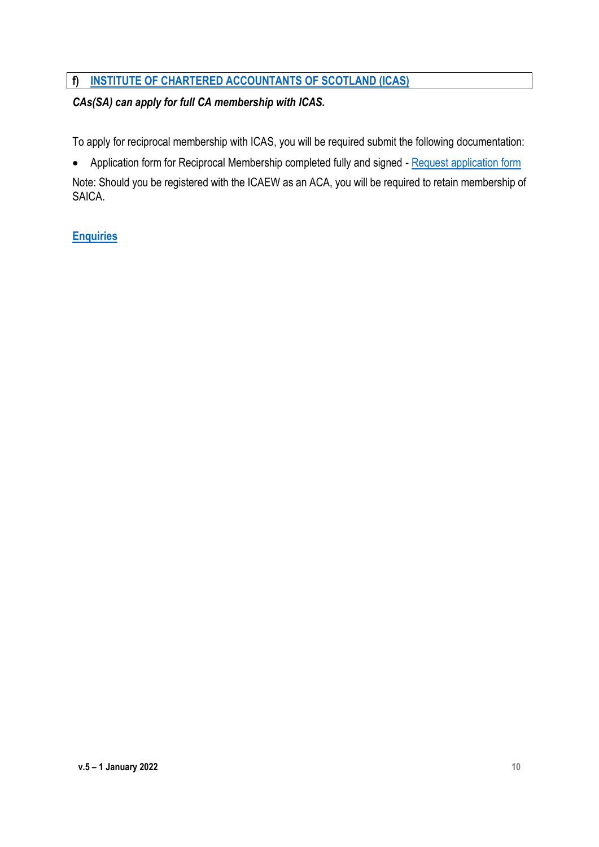# **f) [INSTITUTE OF CHARTERED ACCOUNTANTS OF SCOTLAND \(ICAS\)](https://www.icas.com/members/manage-my-membership/reciprocal-membership-arrangements)**

# *CAs(SA) can apply for full CA membership with ICAS.*

To apply for reciprocal membership with ICAS, you will be required submit the following documentation:

Application form for Reciprocal Membership completed fully and signed - [Request application form](mailto:professionalservices@icas.com)

Note: Should you be registered with the ICAEW as an ACA, you will be required to retain membership of SAICA.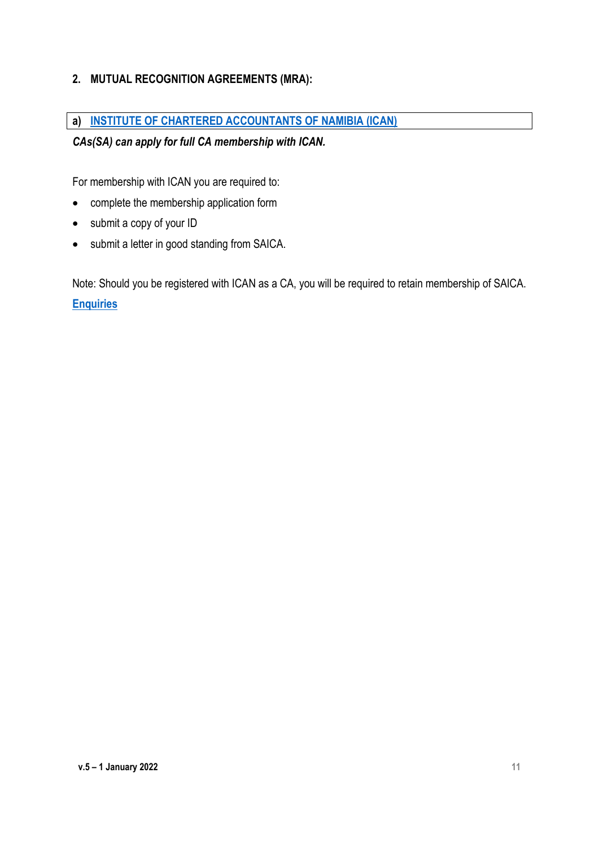# **2. MUTUAL RECOGNITION AGREEMENTS (MRA):**

# **a) [INSTITUTE OF CHARTERED ACCOUNTANTS OF NAMIBIA \(ICAN\)](http://www.icancpd.net/)**

# *CAs(SA) can apply for full CA membership with ICAN.*

For membership with ICAN you are required to:

- complete the membership application form
- submit a copy of your ID
- submit a letter in good standing from SAICA.

Note: Should you be registered with ICAN as a CA, you will be required to retain membership of SAICA. **[Enquiries](mailto:wilna@ca-nam.com)**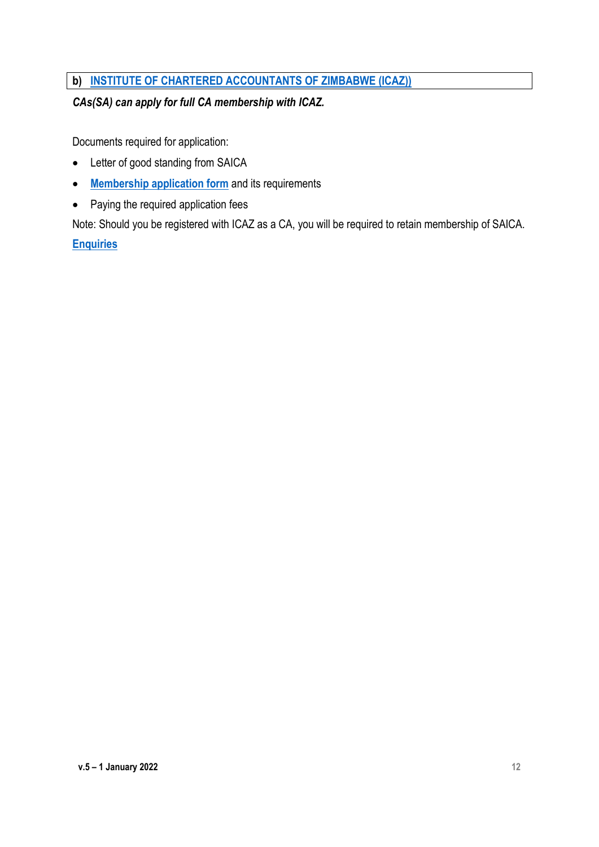# **b) [INSTITUTE OF CHARTERED ACCOUNTANTS OF ZIMBABWE \(ICAZ\)\)](https://www.icaz.org.zw/Members/How_to_become_a_CA/Members/How_to_become_a_CA1.aspx)**

# *CAs(SA) can apply for full CA membership with ICAZ.*

Documents required for application:

- Letter of good standing from SAICA
- **[Membership application form](https://www.icaz.org.zw/iMISDocs/memapp.pdf)** and its requirements
- Paying the required application fees

Note: Should you be registered with ICAZ as a CA, you will be required to retain membership of SAICA. **[Enquiries](mailto:registry@icaz.org.zw)**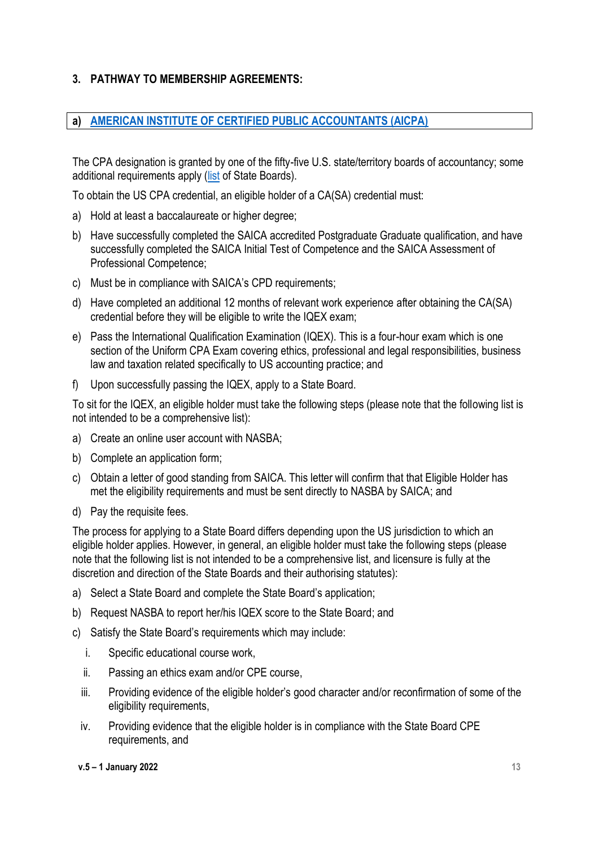# **3. PATHWAY TO MEMBERSHIP AGREEMENTS:**

#### **a) [AMERICAN INSTITUTE OF CERTIFIED PUBLIC ACCOUNTANTS \(AICPA\)](https://www.aicpa.org/membership/join/international-associate.html)**

The CPA designation is granted by one of the fifty-five U.S. state/territory boards of accountancy; some additional requirements apply [\(list](http://www.nasba.org/) of State Boards).

To obtain the US CPA credential, an eligible holder of a CA(SA) credential must:

- a) Hold at least a baccalaureate or higher degree:
- b) Have successfully completed the SAICA accredited Postgraduate Graduate qualification, and have successfully completed the SAICA Initial Test of Competence and the SAICA Assessment of Professional Competence;
- c) Must be in compliance with SAICA's CPD requirements;
- d) Have completed an additional 12 months of relevant work experience after obtaining the CA(SA) credential before they will be eligible to write the IQEX exam;
- e) Pass the International Qualification Examination (IQEX). This is a four-hour exam which is one section of the Uniform CPA Exam covering ethics, professional and legal responsibilities, business law and taxation related specifically to US accounting practice; and
- f) Upon successfully passing the IQEX, apply to a State Board.

To sit for the IQEX, an eligible holder must take the following steps (please note that the following list is not intended to be a comprehensive list):

- a) Create an online user account with NASBA;
- b) Complete an application form;
- c) Obtain a letter of good standing from SAICA. This letter will confirm that that Eligible Holder has met the eligibility requirements and must be sent directly to NASBA by SAICA; and
- d) Pay the requisite fees.

The process for applying to a State Board differs depending upon the US jurisdiction to which an eligible holder applies. However, in general, an eligible holder must take the following steps (please note that the following list is not intended to be a comprehensive list, and licensure is fully at the discretion and direction of the State Boards and their authorising statutes):

- a) Select a State Board and complete the State Board's application;
- b) Request NASBA to report her/his IQEX score to the State Board; and
- c) Satisfy the State Board's requirements which may include:
	- i. Specific educational course work,
	- ii. Passing an ethics exam and/or CPE course,
	- iii. Providing evidence of the eligible holder's good character and/or reconfirmation of some of the eligibility requirements.
	- iv. Providing evidence that the eligible holder is in compliance with the State Board CPE requirements, and

#### **v.5 – 1 January 2022 13**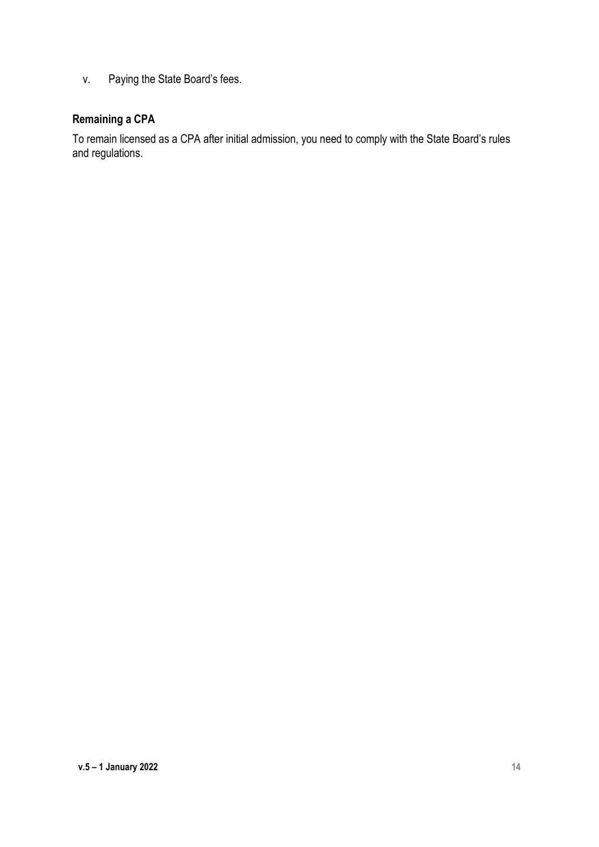v. Paying the State Board's fees.

# **Remaining a CPA**

To remain licensed as a CPA after initial admission, you need to comply with the State Board's rules and regulations.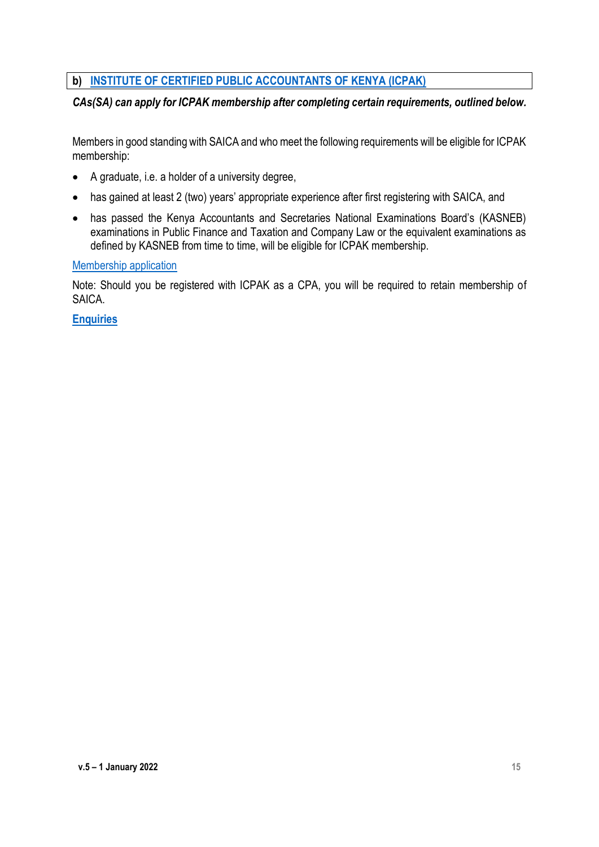# **b) [INSTITUTE OF CERTIFIED PUBLIC ACCOUNTANTS OF KENYA \(ICPAK\)](https://www.icpak.com/icpak-signs-an-mor-with-saica/)**

#### *CAs(SA) can apply for ICPAK membership after completing certain requirements, outlined below.*

Members in good standing with SAICA and who meet the following requirements will be eligible for ICPAK membership:

- A graduate, i.e. a holder of a university degree,
- has gained at least 2 (two) years' appropriate experience after first registering with SAICA, and
- has passed the Kenya Accountants and Secretaries National Examinations Board's (KASNEB) examinations in Public Finance and Taxation and Company Law or the equivalent examinations as defined by KASNEB from time to time, will be eligible for ICPAK membership.

#### [Membership application](https://www.icpak.com/icpakportal/#signup)

Note: Should you be registered with ICPAK as a CPA, you will be required to retain membership of SAICA.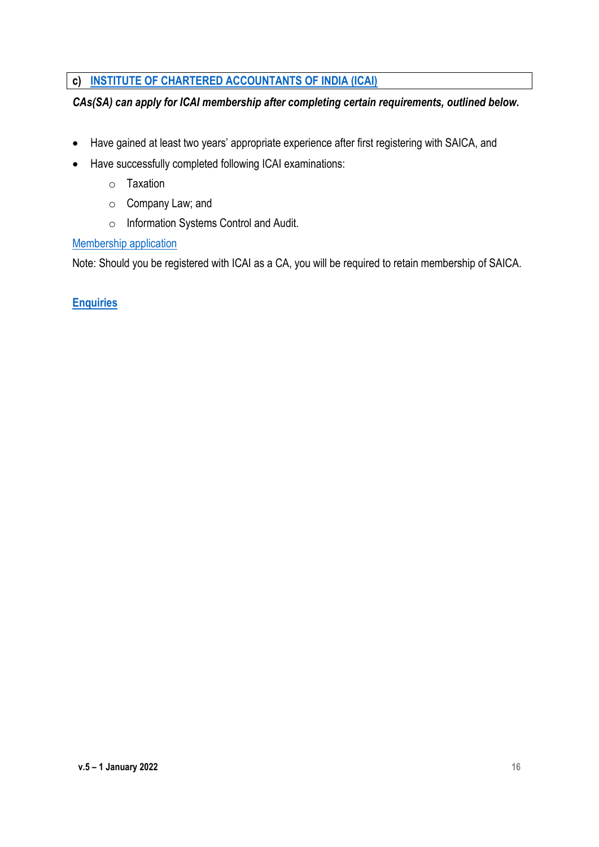# **c) [INSTITUTE OF CHARTERED ACCOUNTANTS OF INDIA \(ICAI\)](https://www.icai.org/post.html?post_id=14858)**

# *CAs(SA) can apply for ICAI membership after completing certain requirements, outlined below.*

- Have gained at least two years' appropriate experience after first registering with SAICA, and
- Have successfully completed following ICAI examinations:
	- o Taxation
	- o Company Law; and
	- o Information Systems Control and Audit.

#### [Membership application](https://resource.cdn.icai.org/30566form2A-20388-IA.pdf)

Note: Should you be registered with ICAI as a CA, you will be required to retain membership of SAICA.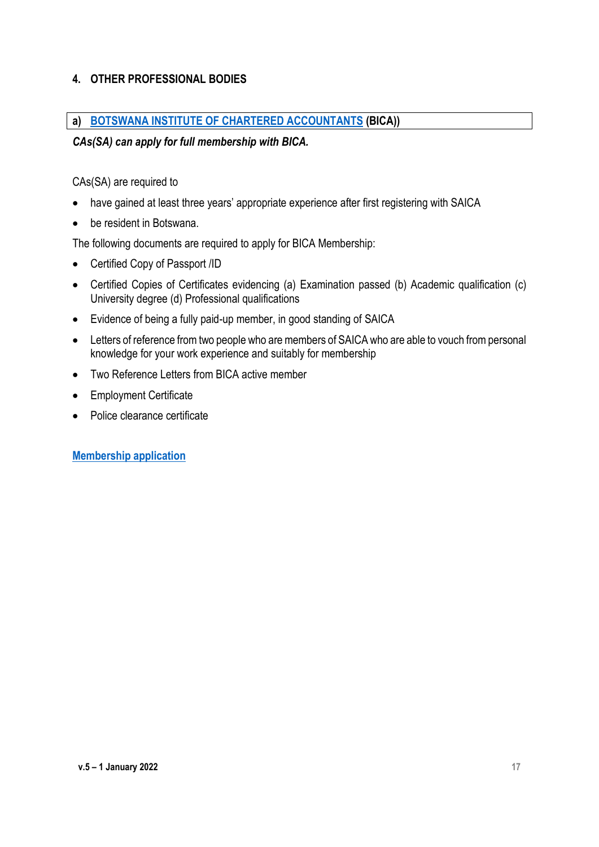# **4. OTHER PROFESSIONAL BODIES**

#### **a) [BOTSWANA INSTITUTE OF CHARTERED ACCOUNTANTS](http://www.bica.org.bw/index.php/bica-content/cid/92/membership-requirements/) (BICA))**

#### *CAs(SA) can apply for full membership with BICA.*

CAs(SA) are required to

- have gained at least three years' appropriate experience after first registering with SAICA
- be resident in Botswana.

The following documents are required to apply for BICA Membership:

- Certified Copy of Passport /ID
- Certified Copies of Certificates evidencing (a) Examination passed (b) Academic qualification (c) University degree (d) Professional qualifications
- Evidence of being a fully paid-up member, in good standing of SAICA
- Letters of reference from two people who are members of SAICA who are able to vouch from personal knowledge for your work experience and suitably for membership
- Two Reference Letters from BICA active member
- Employment Certificate
- Police clearance certificate

**[Membership application](http://www.bica.org.bw/common_up/bica/files/DIRECT%20ADMISSION%20FORMS.pdf)**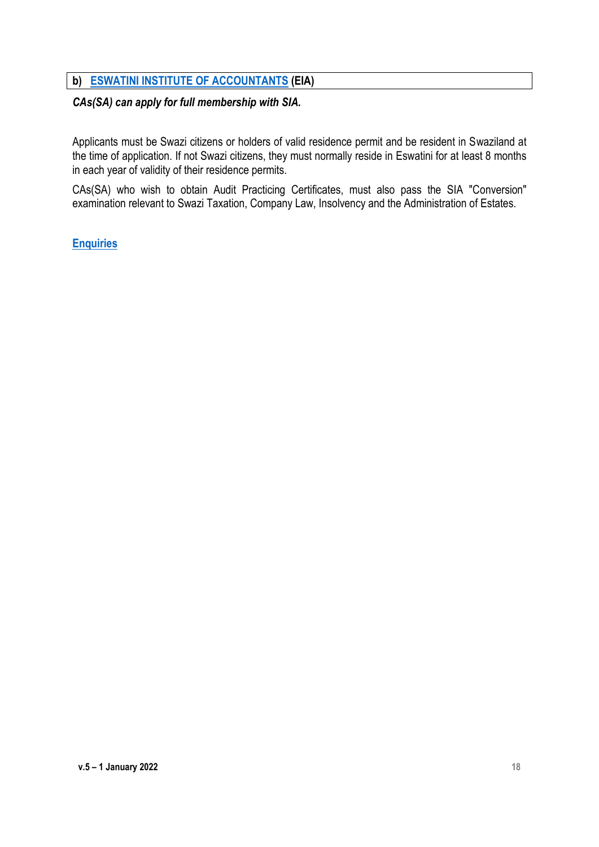#### **b) ESWATINI [INSTITUTE OF ACCOUNTANTS](http://www.sia.org.sz/index.php/membership-criteria) (EIA)**

#### *CAs(SA) can apply for full membership with SIA.*

Applicants must be Swazi citizens or holders of valid residence permit and be resident in Swaziland at the time of application. If not Swazi citizens, they must normally reside in Eswatini for at least 8 months in each year of validity of their residence permits.

CAs(SA) who wish to obtain Audit Practicing Certificates, must also pass the SIA "Conversion" examination relevant to Swazi Taxation, Company Law, Insolvency and the Administration of Estates.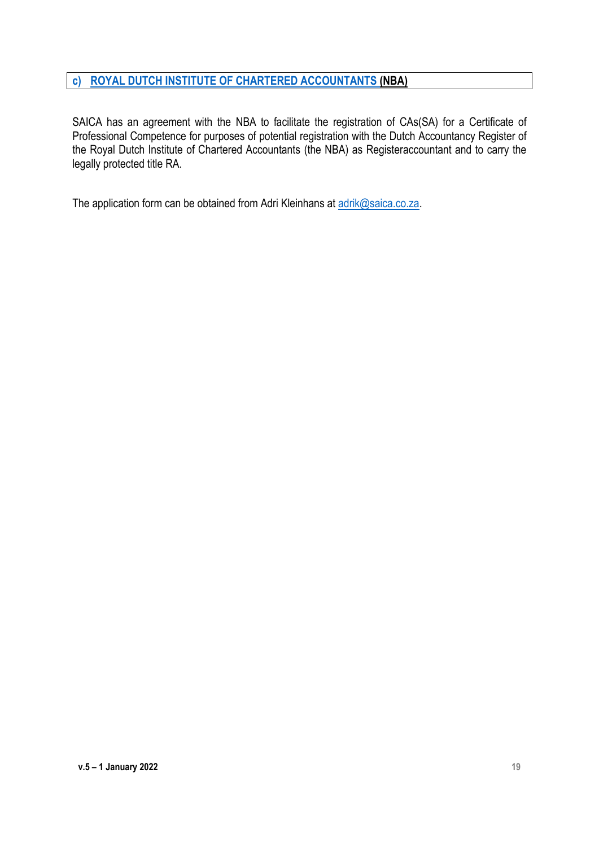# **c) [ROYAL DUTCH INSTITUTE OF CHARTERED ACCOUNTANTS](https://www.nba.nl/) (NBA)**

SAICA has an agreement with the NBA to facilitate the registration of CAs(SA) for a Certificate of Professional Competence for purposes of potential registration with the Dutch Accountancy Register of the Royal Dutch Institute of Chartered Accountants (the NBA) as Registeraccountant and to carry the legally protected title RA.

The application form can be obtained from Adri Kleinhans at [adrik@saica.co.za.](mailto:adrik@saica.co.za)